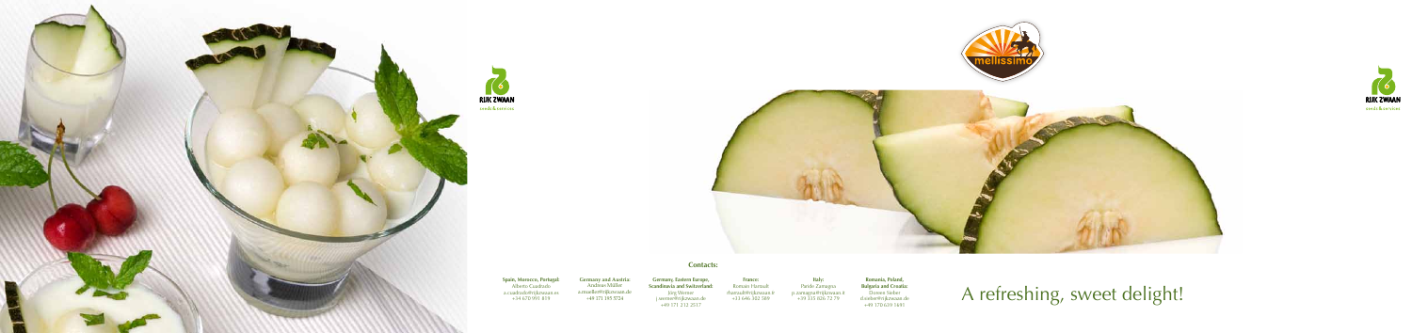

**RIJK ZWAAN** 

# **Contacts:**

**France:**  Romain Harrault rharrault@rijkzwaan.fr +33 646 302 589 **Italy:**

**Spain, Morocco, Portugal:**  Alberto Cuadrado a.cuadrado@rijkzwaan.es +34 670 991 819

**Germany and Austria:**  Andreas Müller a.mueller@rijkzwaan.de +49 171 195 5724 Paride Zamagna p.zamagna@rijkzwaan.it +39 335 826 72 79 **Romania, Poland, Bulgaria and Croatia:** Doreen Sieber d.sieber@rijkzwaan.de +49 170 639 1691

**Germany, Eastern Europe, Scandinavia and Switzerland:**  Jörg Werner j.werner@rijkzwaan.de +49 171 212 2517







A refreshing, sweet delight!